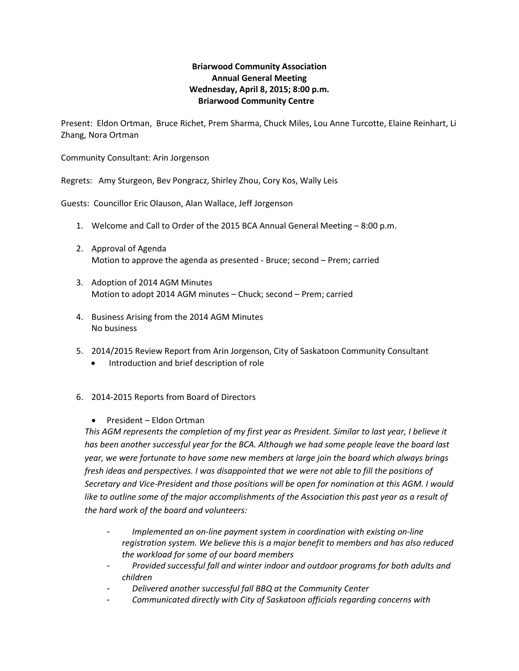# **Briarwood Community Association Annual General Meeting Wednesday, April 8, 2015; 8:00 p.m. Briarwood Community Centre**

Present: Eldon Ortman, Bruce Richet, Prem Sharma, Chuck Miles, Lou Anne Turcotte, Elaine Reinhart, Li Zhang, Nora Ortman

Community Consultant: Arin Jorgenson

Regrets: Amy Sturgeon, Bev Pongracz, Shirley Zhou, Cory Kos, Wally Leis

Guests: Councillor Eric Olauson, Alan Wallace, Jeff Jorgenson

- 1. Welcome and Call to Order of the 2015 BCA Annual General Meeting 8:00 p.m.
- 2. Approval of Agenda Motion to approve the agenda as presented - Bruce; second – Prem; carried
- 3. Adoption of 2014 AGM Minutes Motion to adopt 2014 AGM minutes – Chuck; second – Prem; carried
- 4. Business Arising from the 2014 AGM Minutes No business
- 5. 2014/2015 Review Report from Arin Jorgenson, City of Saskatoon Community Consultant
	- Introduction and brief description of role

# 6. 2014-2015 Reports from Board of Directors

• President – Eldon Ortman

*This AGM represents the completion of my first year as President. Similar to last year, I believe it has been another successful year for the BCA. Although we had some people leave the board last year, we were fortunate to have some new members at large join the board which always brings fresh ideas and perspectives. I was disappointed that we were not able to fill the positions of Secretary and Vice-President and those positions will be open for nomination at this AGM. I would like to outline some of the major accomplishments of the Association this past year as a result of the hard work of the board and volunteers:*

- *Implemented an on-line payment system in coordination with existing on-line registration system. We believe this is a major benefit to members and has also reduced the workload for some of our board members*
- *Provided successful fall and winter indoor and outdoor programs for both adults and children*
- *Delivered another successful fall BBQ at the Community Center*
- *Communicated directly with City of Saskatoon officials regarding concerns with*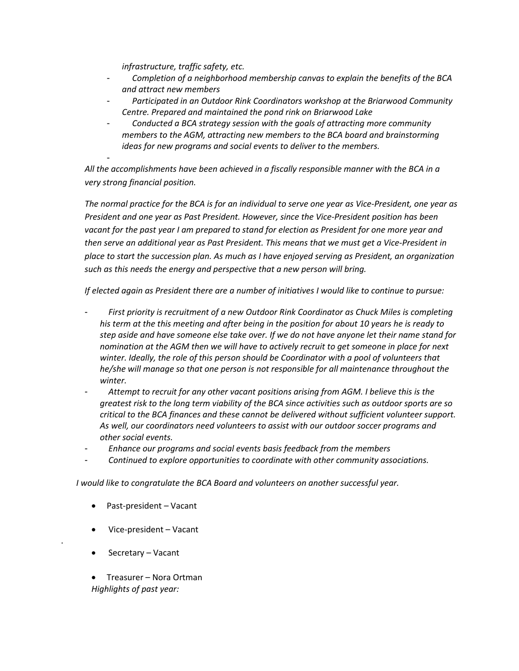*infrastructure, traffic safety, etc.*

-

- *Completion of a neighborhood membership canvas to explain the benefits of the BCA and attract new members*
- *Participated in an Outdoor Rink Coordinators workshop at the Briarwood Community Centre. Prepared and maintained the pond rink on Briarwood Lake*
- *Conducted a BCA strategy session with the goals of attracting more community members to the AGM, attracting new members to the BCA board and brainstorming ideas for new programs and social events to deliver to the members.*

*All the accomplishments have been achieved in a fiscally responsible manner with the BCA in a very strong financial position.*

*The normal practice for the BCA is for an individual to serve one year as Vice-President, one year as President and one year as Past President. However, since the Vice-President position has been vacant for the past year I am prepared to stand for election as President for one more year and then serve an additional year as Past President. This means that we must get a Vice-President in place to start the succession plan. As much as I have enjoyed serving as President, an organization such as this needs the energy and perspective that a new person will bring.* 

*If elected again as President there are a number of initiatives I would like to continue to pursue:*

- *First priority is recruitment of a new Outdoor Rink Coordinator as Chuck Miles is completing his term at the this meeting and after being in the position for about 10 years he is ready to step aside and have someone else take over. If we do not have anyone let their name stand for nomination at the AGM then we will have to actively recruit to get someone in place for next winter. Ideally, the role of this person should be Coordinator with a pool of volunteers that he/she will manage so that one person is not responsible for all maintenance throughout the winter.*
- *Attempt to recruit for any other vacant positions arising from AGM. I believe this is the greatest risk to the long term viability of the BCA since activities such as outdoor sports are so critical to the BCA finances and these cannot be delivered without sufficient volunteer support. As well, our coordinators need volunteers to assist with our outdoor soccer programs and other social events.*
- *Enhance our programs and social events basis feedback from the members*
- *Continued to explore opportunities to coordinate with other community associations.*

*I would like to congratulate the BCA Board and volunteers on another successful year.*

- Past-president Vacant
- Vice-president Vacant
- Secretary Vacant

.

• Treasurer – Nora Ortman *Highlights of past year:*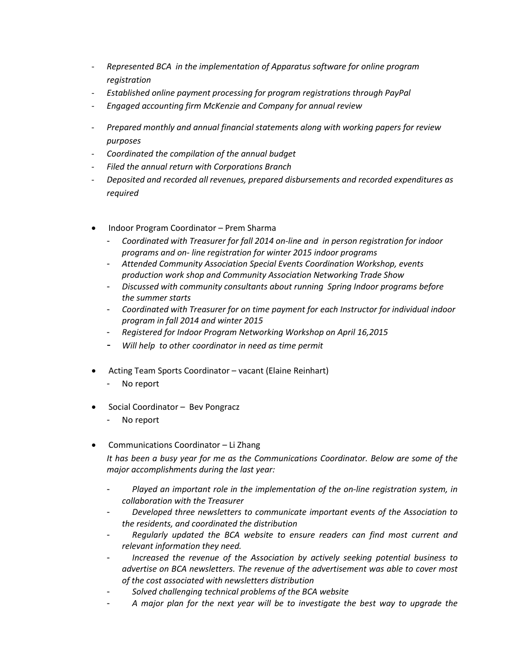- *Represented BCA in the implementation of Apparatus software for online program registration*
- *Established online payment processing for program registrations through PayPal*
- *Engaged accounting firm McKenzie and Company for annual review*
- *Prepared monthly and annual financial statements along with working papers for review purposes*
- *Coordinated the compilation of the annual budget*
- *Filed the annual return with Corporations Branch*
- *Deposited and recorded all revenues, prepared disbursements and recorded expenditures as required*
- Indoor Program Coordinator Prem Sharma
	- *Coordinated with Treasurer for fall 2014 on-line and in person registration for indoor programs and on- line registration for winter 2015 indoor programs*
	- *Attended Community Association Special Events Coordination Workshop, events production work shop and Community Association Networking Trade Show*
	- *Discussed with community consultants about running Spring Indoor programs before the summer starts*
	- *Coordinated with Treasurer for on time payment for each Instructor for individual indoor program in fall 2014 and winter 2015*
	- *Registered for Indoor Program Networking Workshop on April 16,2015*
	- *Will help to other coordinator in need as time permit*
- Acting Team Sports Coordinator vacant (Elaine Reinhart)
	- No report
- Social Coordinator Bev Pongracz
	- No report
- Communications Coordinator Li Zhang

*It has been a busy year for me as the Communications Coordinator. Below are some of the major accomplishments during the last year:*

- *Played an important role in the implementation of the on-line registration system, in collaboration with the Treasurer*
- *Developed three newsletters to communicate important events of the Association to the residents, and coordinated the distribution*
- *Regularly updated the BCA website to ensure readers can find most current and relevant information they need.*
- *Increased the revenue of the Association by actively seeking potential business to advertise on BCA newsletters. The revenue of the advertisement was able to cover most of the cost associated with newsletters distribution*
- *Solved challenging technical problems of the BCA website*
- *A major plan for the next year will be to investigate the best way to upgrade the*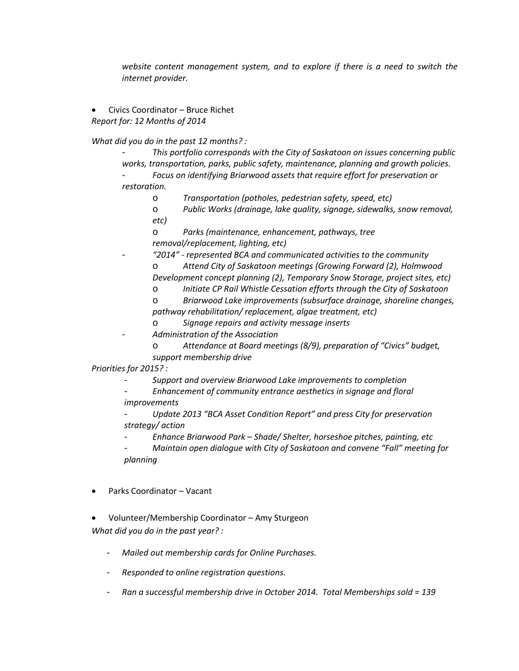*website content management system, and to explore if there is a need to switch the internet provider.* 

• Civics Coordinator – Bruce Richet *Report for: 12 Months of 2014*

*What did you do in the past 12 months? :*

- *This portfolio corresponds with the City of Saskatoon on issues concerning public works, transportation, parks, public safety, maintenance, planning and growth policies.*

- *Focus on identifying Briarwood assets that require effort for preservation or restoration.*

o *Transportation (potholes, pedestrian safety, speed, etc)*

o *Public Works (drainage, lake quality, signage, sidewalks, snow removal, etc)*

Parks (maintenance, enhancement, pathways, tree *removal/replacement, lighting, etc)*

- *"2014" - represented BCA and communicated activities to the community* o *Attend City of Saskatoon meetings (Growing Forward (2), Holmwood Development concept planning (2), Temporary Snow Storage, project sites, etc)*
	- o *Initiate CP Rail Whistle Cessation efforts through the City of Saskatoon*

o *Briarwood Lake improvements (subsurface drainage, shoreline changes, pathway rehabilitation/ replacement, algae treatment, etc)*

- o *Signage repairs and activity message inserts*
- *Administration of the Association*
	- o *Attendance at Board meetings (8/9), preparation of "Civics" budget, support membership drive*

*Priorities for 2015? :*

- *Support and overview Briarwood Lake improvements to completion*

- *Enhancement of community entrance aesthetics in signage and floral* 

*improvements*

- *Update 2013 "BCA Asset Condition Report" and press City for preservation strategy/ action* 

- *Enhance Briarwood Park – Shade/ Shelter, horseshoe pitches, painting, etc*

- *Maintain open dialogue with City of Saskatoon and convene "Fall" meeting for planning*
- Parks Coordinator Vacant
- Volunteer/Membership Coordinator Amy Sturgeon *What did you do in the past year? :*
	- *Mailed out membership cards for Online Purchases.*
	- *Responded to online registration questions.*
	- *Ran a successful membership drive in October 2014. Total Memberships sold = 139*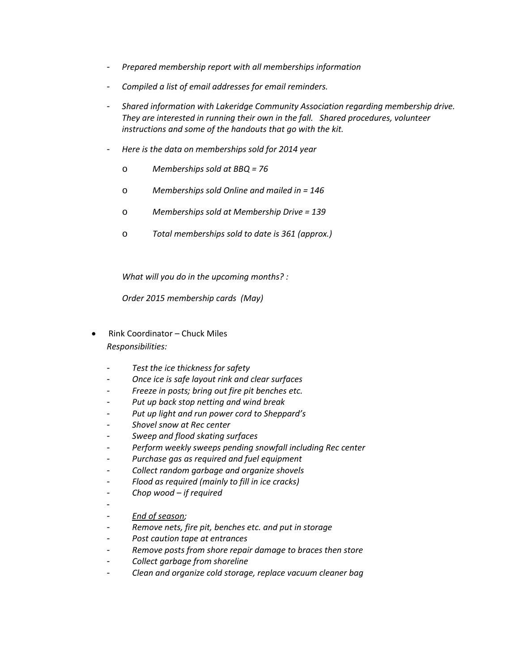- *Prepared membership report with all memberships information*
- *Compiled a list of email addresses for email reminders.*
- *Shared information with Lakeridge Community Association regarding membership drive. They are interested in running their own in the fall. Shared procedures, volunteer instructions and some of the handouts that go with the kit.*
- *Here is the data on memberships sold for 2014 year*
	- o *Memberships sold at BBQ = 76*
	- o *Memberships sold Online and mailed in = 146*
	- o *Memberships sold at Membership Drive = 139*
	- o *Total memberships sold to date is 361 (approx.)*

*What will you do in the upcoming months? :*

*Order 2015 membership cards (May)* 

- Rink Coordinator Chuck Miles *Responsibilities:*
	- Test the ice thickness for safety
	- *Once ice is safe layout rink and clear surfaces*
	- *Freeze in posts; bring out fire pit benches etc.*
	- *Put up back stop netting and wind break*
	- *Put up light and run power cord to Sheppard's*
	- *Shovel snow at Rec center*
	- *Sweep and flood skating surfaces*
	- *Perform weekly sweeps pending snowfall including Rec center*
	- *Purchase gas as required and fuel equipment*
	- *Collect random garbage and organize shovels*
	- *Flood as required (mainly to fill in ice cracks)*
	- *Chop wood – if required*
	- -
	- *End of season;*
	- *Remove nets, fire pit, benches etc. and put in storage*
	- *Post caution tape at entrances*
	- *Remove posts from shore repair damage to braces then store*
	- *Collect garbage from shoreline*
	- *Clean and organize cold storage, replace vacuum cleaner bag*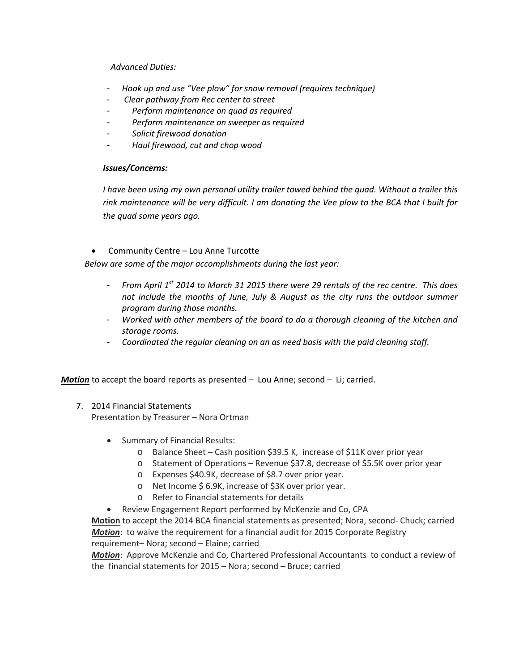### *Advanced Duties:*

- *Hook up and use "Vee plow" for snow removal (requires technique)*
- *Clear pathway from Rec center to street*
- *Perform maintenance on quad as required*
- *Perform maintenance on sweeper as required*
- *Solicit firewood donation*
- *Haul firewood, cut and chop wood*

#### *Issues/Concerns:*

*I have been using my own personal utility trailer towed behind the quad. Without a trailer this rink maintenance will be very difficult. I am donating the Vee plow to the BCA that I built for the quad some years ago.*

• Community Centre – Lou Anne Turcotte

*Below are some of the major accomplishments during the last year:*

- *From April 1st 2014 to March 31 2015 there were 29 rentals of the rec centre. This does not include the months of June, July & August as the city runs the outdoor summer program during those months.*
- *Worked with other members of the board to do a thorough cleaning of the kitchen and storage rooms.*
- *Coordinated the regular cleaning on an as need basis with the paid cleaning staff.*

*Motion* to accept the board reports as presented – Lou Anne; second – Li; carried.

# 7. 2014 Financial Statements

Presentation by Treasurer – Nora Ortman

- Summary of Financial Results:
	- o Balance Sheet Cash position \$39.5 K, increase of \$11K over prior year
	- o Statement of Operations Revenue \$37.8, decrease of \$5.5K over prior year
	- o Expenses \$40.9K, decrease of \$8.7 over prior year.
	- o Net Income \$ 6.9K, increase of \$3K over prior year.
	- o Refer to Financial statements for details
- Review Engagement Report performed by McKenzie and Co, CPA

**Motion** to accept the 2014 BCA financial statements as presented; Nora, second- Chuck; carried *Motion*: to waive the requirement for a financial audit for 2015 Corporate Registry requirement– Nora; second – Elaine; carried

*Motion*: Approve McKenzie and Co, Chartered Professional Accountants to conduct a review of the financial statements for 2015 – Nora; second – Bruce; carried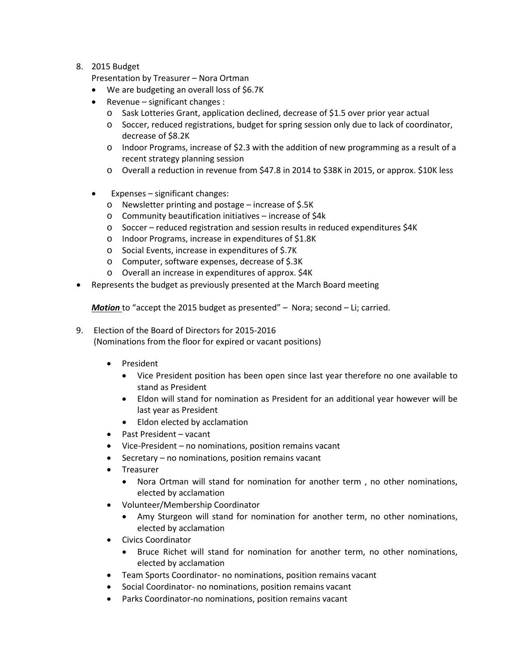### 8. 2015 Budget

Presentation by Treasurer – Nora Ortman

- We are budgeting an overall loss of \$6.7K
- Revenue significant changes :
	- o Sask Lotteries Grant, application declined, decrease of \$1.5 over prior year actual
	- o Soccer, reduced registrations, budget for spring session only due to lack of coordinator, decrease of \$8.2K
	- o Indoor Programs, increase of \$2.3 with the addition of new programming as a result of a recent strategy planning session
	- o Overall a reduction in revenue from \$47.8 in 2014 to \$38K in 2015, or approx. \$10K less
- Expenses significant changes:
	- o Newsletter printing and postage increase of \$.5K
	- o Community beautification initiatives increase of \$4k
	- o Soccer reduced registration and session results in reduced expenditures \$4K
	- o Indoor Programs, increase in expenditures of \$1.8K
	- o Social Events, increase in expenditures of \$.7K
	- o Computer, software expenses, decrease of \$.3K
	- o Overall an increase in expenditures of approx. \$4K
- Represents the budget as previously presented at the March Board meeting

*Motion* to "accept the 2015 budget as presented" – Nora; second – Li; carried.

- 9. Election of the Board of Directors for 2015-2016 (Nominations from the floor for expired or vacant positions)
	- President
		- Vice President position has been open since last year therefore no one available to stand as President
		- Eldon will stand for nomination as President for an additional year however will be last year as President
		- Eldon elected by acclamation
	- Past President vacant
	- Vice-President no nominations, position remains vacant
	- Secretary no nominations, position remains vacant
	- Treasurer
		- Nora Ortman will stand for nomination for another term , no other nominations, elected by acclamation
	- Volunteer/Membership Coordinator
		- Amy Sturgeon will stand for nomination for another term, no other nominations, elected by acclamation
	- Civics Coordinator
		- Bruce Richet will stand for nomination for another term, no other nominations, elected by acclamation
	- Team Sports Coordinator- no nominations, position remains vacant
	- Social Coordinator- no nominations, position remains vacant
	- Parks Coordinator-no nominations, position remains vacant